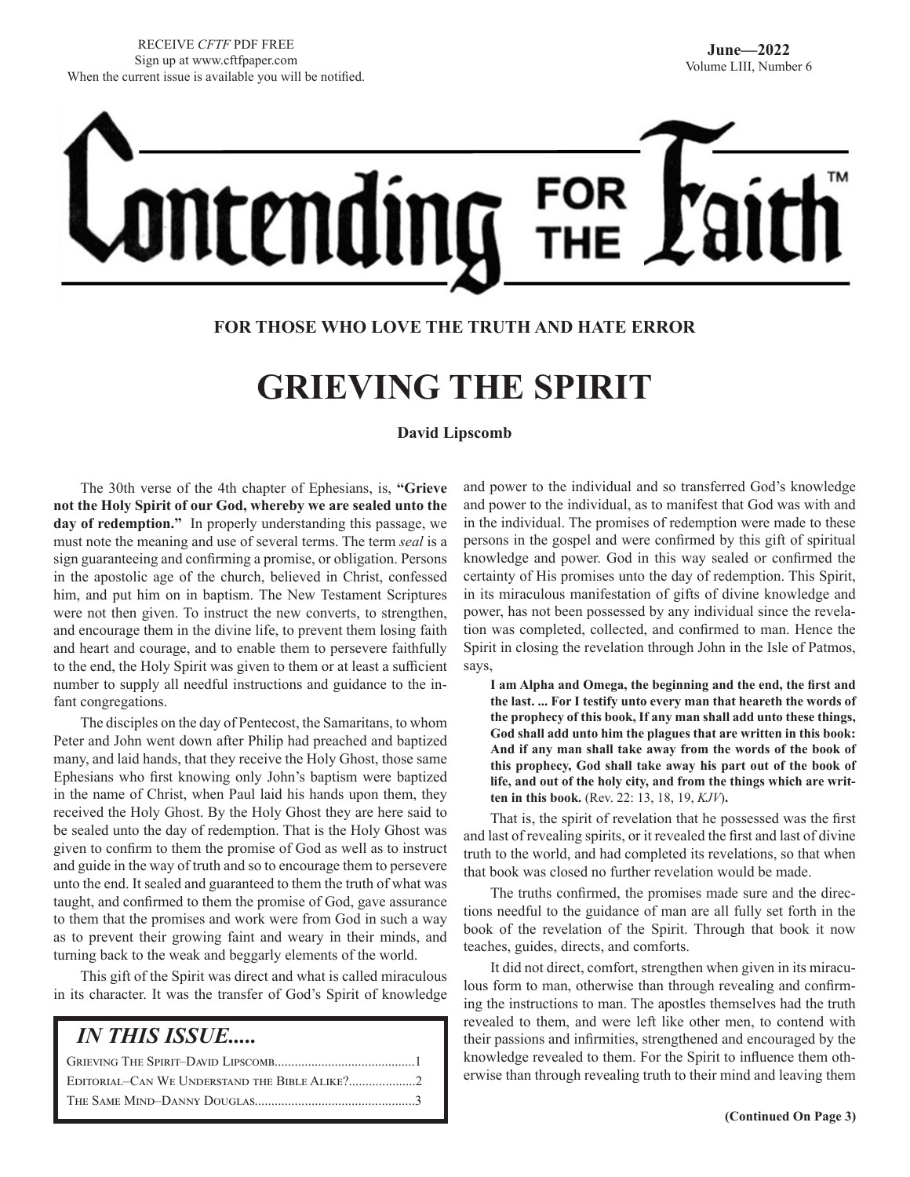# CEN

# **FOR THOSE WHO LOVE THE TRUTH AND HATE ERROR**

# **GRIEVING THE SPIRIT**

**David Lipscomb**

The 30th verse of the 4th chapter of Ephesians, is, **"Grieve not the Holy Spirit of our God, whereby we are sealed unto the day of redemption."** In properly understanding this passage, we must note the meaning and use of several terms. The term *seal* is a sign guaranteeing and confirming a promise, or obligation. Persons in the apostolic age of the church, believed in Christ, confessed him, and put him on in baptism. The New Testament Scriptures were not then given. To instruct the new converts, to strengthen, and encourage them in the divine life, to prevent them losing faith and heart and courage, and to enable them to persevere faithfully to the end, the Holy Spirit was given to them or at least a sufficient number to supply all needful instructions and guidance to the infant congregations.

The disciples on the day of Pentecost, the Samaritans, to whom Peter and John went down after Philip had preached and baptized many, and laid hands, that they receive the Holy Ghost, those same Ephesians who first knowing only John's baptism were baptized in the name of Christ, when Paul laid his hands upon them, they received the Holy Ghost. By the Holy Ghost they are here said to be sealed unto the day of redemption. That is the Holy Ghost was given to confirm to them the promise of God as well as to instruct and guide in the way of truth and so to encourage them to persevere unto the end. It sealed and guaranteed to them the truth of what was taught, and confirmed to them the promise of God, gave assurance to them that the promises and work were from God in such a way as to prevent their growing faint and weary in their minds, and turning back to the weak and beggarly elements of the world.

This gift of the Spirit was direct and what is called miraculous in its character. It was the transfer of God's Spirit of knowledge

| <i><b>IN THIS ISSUE</b></i> |  |
|-----------------------------|--|
|                             |  |
|                             |  |
|                             |  |
|                             |  |

and power to the individual and so transferred God's knowledge and power to the individual, as to manifest that God was with and in the individual. The promises of redemption were made to these persons in the gospel and were confirmed by this gift of spiritual knowledge and power. God in this way sealed or confirmed the certainty of His promises unto the day of redemption. This Spirit, in its miraculous manifestation of gifts of divine knowledge and power, has not been possessed by any individual since the revelation was completed, collected, and confirmed to man. Hence the Spirit in closing the revelation through John in the Isle of Patmos, says,

**I am Alpha and Omega, the beginning and the end, the first and the last. ... For I testify unto every man that heareth the words of the prophecy of this book, If any man shall add unto these things, God shall add unto him the plagues that are written in this book: And if any man shall take away from the words of the book of this prophecy, God shall take away his part out of the book of life, and out of the holy city, and from the things which are written in this book.** (Rev. 22: 13, 18, 19, *KJV*)**.** 

That is, the spirit of revelation that he possessed was the first and last of revealing spirits, or it revealed the first and last of divine truth to the world, and had completed its revelations, so that when that book was closed no further revelation would be made.

The truths confirmed, the promises made sure and the directions needful to the guidance of man are all fully set forth in the book of the revelation of the Spirit. Through that book it now teaches, guides, directs, and comforts.

It did not direct, comfort, strengthen when given in its miraculous form to man, otherwise than through revealing and confirming the instructions to man. The apostles themselves had the truth revealed to them, and were left like other men, to contend with their passions and infirmities, strengthened and encouraged by the knowledge revealed to them. For the Spirit to influence them otherwise than through revealing truth to their mind and leaving them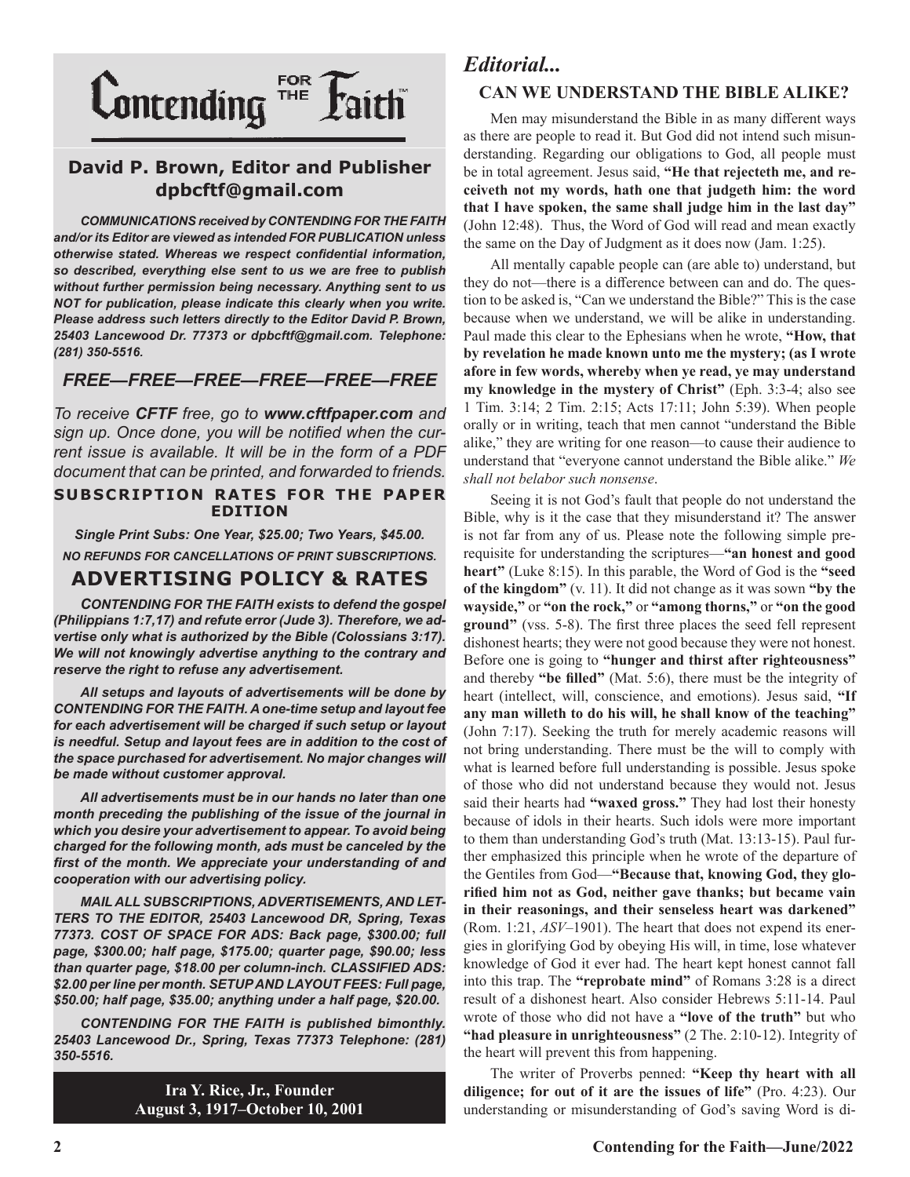

# **David P. Brown, Editor and Publisher dpbcftf@gmail.com**

*COMMUNICATIONS received by CONTENDING FOR THE FAITH and/or its Editor are viewed as intended FOR PUBLICATION unless otherwise stated. Whereas we respect confidential information, so described, everything else sent to us we are free to publish without further permission being necessary. Anything sent to us NOT for publication, please indicate this clearly when you write. Please address such letters directly to the Editor David P. Brown, 25403 Lancewood Dr. 77373 or dpbcftf@gmail.com. Telephone: (281) 350-5516.*

# *FREE—FREE—FREE—FREE—FREE—FREE*

*To receive CFTF free, go to www.cftfpaper.com and sign up. Once done, you will be notified when the current issue is available. It will be in the form of a PDF document that can be printed, and forwarded to friends.*

#### **SUBSCRIPTION RATES FOR THE PAPER EDITION**

*Single Print Subs: One Year, \$25.00; Two Years, \$45.00. NO REFUNDS FOR CANCELLATIONS OF PRINT SUBSCRIPTIONS.*

# **ADVERTISING POLICY & RATES**

*CONTENDING FOR THE FAITH exists to defend the gospel (Philippians 1:7,17) and refute error (Jude 3). Therefore, we advertise only what is authorized by the Bible (Colossians 3:17). We will not knowingly advertise anything to the contrary and reserve the right to refuse any advertisement.*

*All setups and layouts of advertisements will be done by CONTENDING FOR THE FAITH. A one-time setup and layout fee for each advertisement will be charged if such setup or layout*  is needful. Setup and layout fees are in addition to the cost of *the space purchased for advertisement. No major changes will be made without customer approval.*

*All advertisements must be in our hands no later than one month preceding the publishing of the issue of the journal in which you desire your advertisement to appear. To avoid being charged for the following month, ads must be canceled by the first of the month. We appreciate your understanding of and cooperation with our advertising policy.*

*MAIL ALL SUBSCRIPTIONS, ADVERTISEMENTS, AND LET-TERS TO THE EDITOR, 25403 Lancewood DR, Spring, Texas 77373. COST OF SPACE FOR ADS: Back page, \$300.00; full page, \$300.00; half page, \$175.00; quarter page, \$90.00; less than quarter page, \$18.00 per column-inch. CLASSIFIED ADS: \$2.00 per line per month. SETUP AND LAYOUT FEES: Full page, \$50.00; half page, \$35.00; anything under a half page, \$20.00.*

*CONTENDING FOR THE FAITH is published bimonthly. 25403 Lancewood Dr., Spring, Texas 77373 Telephone: (281) 350-5516.*

> **Ira Y. Rice, Jr., Founder August 3, 1917–October 10, 2001**

# *Editorial...*

# **CAN WE UNDERSTAND THE BIBLE ALIKE?**

Men may misunderstand the Bible in as many different ways as there are people to read it. But God did not intend such misunderstanding. Regarding our obligations to God, all people must be in total agreement. Jesus said, **"He that rejecteth me, and receiveth not my words, hath one that judgeth him: the word that I have spoken, the same shall judge him in the last day"** (John 12:48). Thus, the Word of God will read and mean exactly the same on the Day of Judgment as it does now (Jam. 1:25).

All mentally capable people can (are able to) understand, but they do not—there is a difference between can and do. The question to be asked is, "Can we understand the Bible?" This is the case because when we understand, we will be alike in understanding. Paul made this clear to the Ephesians when he wrote, **"How, that by revelation he made known unto me the mystery; (as I wrote afore in few words, whereby when ye read, ye may understand my knowledge in the mystery of Christ"** (Eph. 3:3-4; also see 1 Tim. 3:14; 2 Tim. 2:15; Acts 17:11; John 5:39). When people orally or in writing, teach that men cannot "understand the Bible alike," they are writing for one reason—to cause their audience to understand that "everyone cannot understand the Bible alike." *We shall not belabor such nonsense*.

Seeing it is not God's fault that people do not understand the Bible, why is it the case that they misunderstand it? The answer is not far from any of us. Please note the following simple prerequisite for understanding the scriptures—**"an honest and good heart"** (Luke 8:15). In this parable, the Word of God is the **"seed of the kingdom"** (v. 11). It did not change as it was sown **"by the wayside,"** or **"on the rock,"** or **"among thorns,"** or **"on the good ground"** (vss. 5-8). The first three places the seed fell represent dishonest hearts; they were not good because they were not honest. Before one is going to **"hunger and thirst after righteousness"** and thereby **"be filled"** (Mat. 5:6), there must be the integrity of heart (intellect, will, conscience, and emotions). Jesus said, **"If any man willeth to do his will, he shall know of the teaching"** (John 7:17). Seeking the truth for merely academic reasons will not bring understanding. There must be the will to comply with what is learned before full understanding is possible. Jesus spoke of those who did not understand because they would not. Jesus said their hearts had **"waxed gross."** They had lost their honesty because of idols in their hearts. Such idols were more important to them than understanding God's truth (Mat. 13:13-15). Paul further emphasized this principle when he wrote of the departure of the Gentiles from God—**"Because that, knowing God, they glorified him not as God, neither gave thanks; but became vain in their reasonings, and their senseless heart was darkened"** (Rom. 1:21, *ASV*–1901). The heart that does not expend its energies in glorifying God by obeying His will, in time, lose whatever knowledge of God it ever had. The heart kept honest cannot fall into this trap. The **"reprobate mind"** of Romans 3:28 is a direct result of a dishonest heart. Also consider Hebrews 5:11-14. Paul wrote of those who did not have a **"love of the truth"** but who **"had pleasure in unrighteousness"** (2 The. 2:10-12). Integrity of the heart will prevent this from happening.

The writer of Proverbs penned: **"Keep thy heart with all diligence; for out of it are the issues of life"** (Pro. 4:23). Our understanding or misunderstanding of God's saving Word is di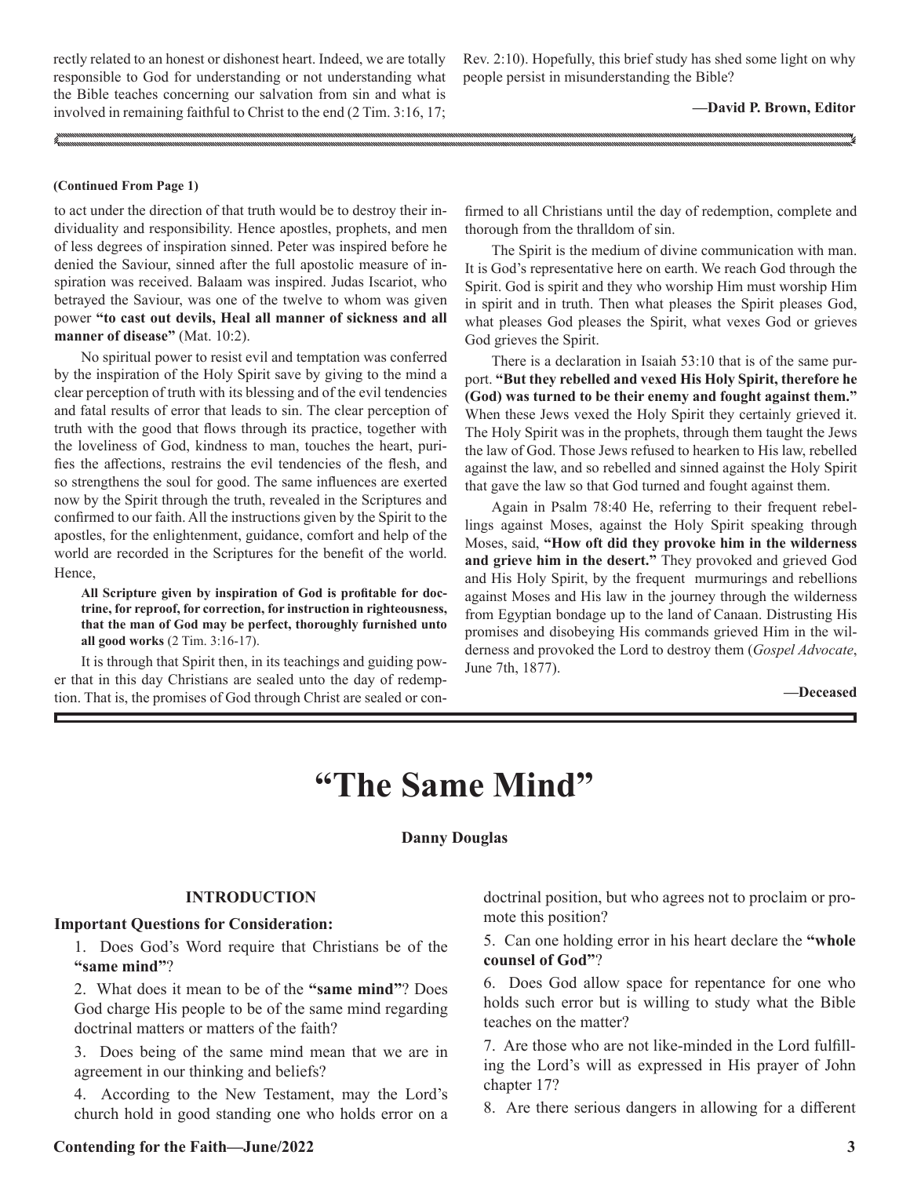rectly related to an honest or dishonest heart. Indeed, we are totally responsible to God for understanding or not understanding what the Bible teaches concerning our salvation from sin and what is involved in remaining faithful to Christ to the end (2 Tim. 3:16, 17;

Rev. 2:10). Hopefully, this brief study has shed some light on why people persist in misunderstanding the Bible?

**—David P. Brown, Editor**

#### **(Continued From Page 1)**

to act under the direction of that truth would be to destroy their individuality and responsibility. Hence apostles, prophets, and men of less degrees of inspiration sinned. Peter was inspired before he denied the Saviour, sinned after the full apostolic measure of inspiration was received. Balaam was inspired. Judas Iscariot, who betrayed the Saviour, was one of the twelve to whom was given power **"to cast out devils, Heal all manner of sickness and all manner of disease"** (Mat. 10:2).

No spiritual power to resist evil and temptation was conferred by the inspiration of the Holy Spirit save by giving to the mind a clear perception of truth with its blessing and of the evil tendencies and fatal results of error that leads to sin. The clear perception of truth with the good that flows through its practice, together with the loveliness of God, kindness to man, touches the heart, purifies the affections, restrains the evil tendencies of the flesh, and so strengthens the soul for good. The same influences are exerted now by the Spirit through the truth, revealed in the Scriptures and confirmed to our faith. All the instructions given by the Spirit to the apostles, for the enlightenment, guidance, comfort and help of the world are recorded in the Scriptures for the benefit of the world. Hence,

**All Scripture given by inspiration of God is profitable for doctrine, for reproof, for correction, for instruction in righteousness, that the man of God may be perfect, thoroughly furnished unto all good works** (2 Tim. 3:16-17).

It is through that Spirit then, in its teachings and guiding power that in this day Christians are sealed unto the day of redemption. That is, the promises of God through Christ are sealed or confirmed to all Christians until the day of redemption, complete and thorough from the thralldom of sin.

The Spirit is the medium of divine communication with man. It is God's representative here on earth. We reach God through the Spirit. God is spirit and they who worship Him must worship Him in spirit and in truth. Then what pleases the Spirit pleases God, what pleases God pleases the Spirit, what vexes God or grieves God grieves the Spirit.

There is a declaration in Isaiah 53:10 that is of the same purport. **"But they rebelled and vexed His Holy Spirit, therefore he (God) was turned to be their enemy and fought against them."** When these Jews vexed the Holy Spirit they certainly grieved it. The Holy Spirit was in the prophets, through them taught the Jews the law of God. Those Jews refused to hearken to His law, rebelled against the law, and so rebelled and sinned against the Holy Spirit that gave the law so that God turned and fought against them.

Again in Psalm 78:40 He, referring to their frequent rebellings against Moses, against the Holy Spirit speaking through Moses, said, **"How oft did they provoke him in the wilderness and grieve him in the desert."** They provoked and grieved God and His Holy Spirit, by the frequent murmurings and rebellions against Moses and His law in the journey through the wilderness from Egyptian bondage up to the land of Canaan. Distrusting His promises and disobeying His commands grieved Him in the wilderness and provoked the Lord to destroy them (*Gospel Advocate*, June 7th, 1877).

#### **—Deceased**

# **"The Same Mind"**

#### **Danny Douglas**

#### **INTRODUCTION**

#### **Important Questions for Consideration:**

1. Does God's Word require that Christians be of the **"same mind"**?

2. What does it mean to be of the **"same mind"**? Does God charge His people to be of the same mind regarding doctrinal matters or matters of the faith?

3. Does being of the same mind mean that we are in agreement in our thinking and beliefs?

4. According to the New Testament, may the Lord's church hold in good standing one who holds error on a doctrinal position, but who agrees not to proclaim or promote this position?

5. Can one holding error in his heart declare the **"whole counsel of God"**?

6. Does God allow space for repentance for one who holds such error but is willing to study what the Bible teaches on the matter?

7. Are those who are not like-minded in the Lord fulfilling the Lord's will as expressed in His prayer of John chapter 17?

8. Are there serious dangers in allowing for a different

#### **Contending for the Faith—June/2022 3**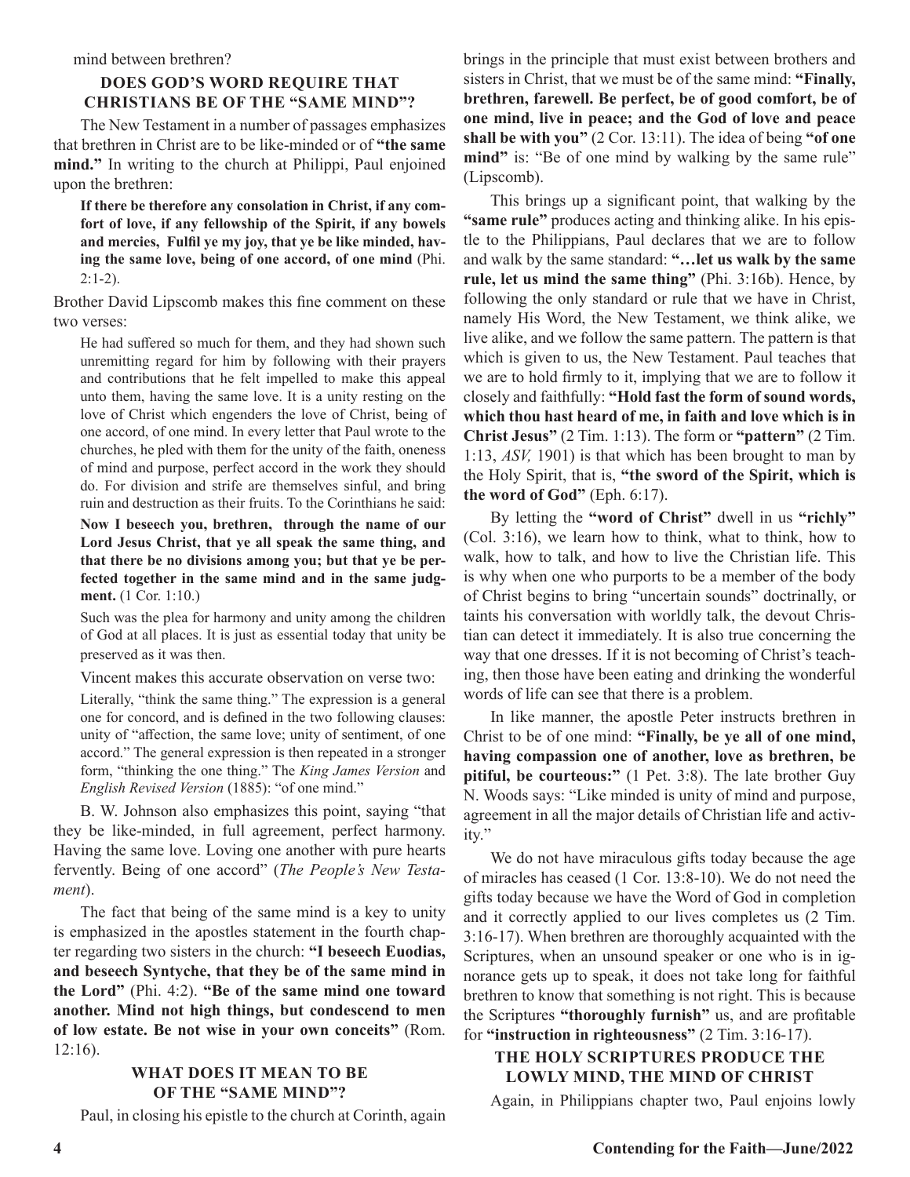#### mind between brethren?

# **DOES GOD'S WORD REQUIRE THAT CHRISTIANS BE OF THE "SAME MIND"?**

The New Testament in a number of passages emphasizes that brethren in Christ are to be like-minded or of **"the same mind."** In writing to the church at Philippi, Paul enjoined upon the brethren:

**If there be therefore any consolation in Christ, if any comfort of love, if any fellowship of the Spirit, if any bowels and mercies, Fulfil ye my joy, that ye be like minded, having the same love, being of one accord, of one mind** (Phi. 2:1-2).

Brother David Lipscomb makes this fine comment on these two verses:

He had suffered so much for them, and they had shown such unremitting regard for him by following with their prayers and contributions that he felt impelled to make this appeal unto them, having the same love. It is a unity resting on the love of Christ which engenders the love of Christ, being of one accord, of one mind. In every letter that Paul wrote to the churches, he pled with them for the unity of the faith, oneness of mind and purpose, perfect accord in the work they should do. For division and strife are themselves sinful, and bring ruin and destruction as their fruits. To the Corinthians he said:

**Now I beseech you, brethren, through the name of our Lord Jesus Christ, that ye all speak the same thing, and that there be no divisions among you; but that ye be perfected together in the same mind and in the same judgment.** (1 Cor. 1:10.)

Such was the plea for harmony and unity among the children of God at all places. It is just as essential today that unity be preserved as it was then.

Vincent makes this accurate observation on verse two:

Literally, "think the same thing." The expression is a general one for concord, and is defined in the two following clauses: unity of "affection, the same love; unity of sentiment, of one accord." The general expression is then repeated in a stronger form, "thinking the one thing." The *King James Version* and *English Revised Version* (1885): "of one mind."

B. W. Johnson also emphasizes this point, saying "that they be like-minded, in full agreement, perfect harmony. Having the same love. Loving one another with pure hearts fervently. Being of one accord" (*The People's New Testament*).

The fact that being of the same mind is a key to unity is emphasized in the apostles statement in the fourth chapter regarding two sisters in the church: **"I beseech Euodias, and beseech Syntyche, that they be of the same mind in the Lord"** (Phi. 4:2). **"Be of the same mind one toward another. Mind not high things, but condescend to men of low estate. Be not wise in your own conceits"** (Rom. 12:16).

# **WHAT DOES IT MEAN TO BE OF THE "SAME MIND"?**

Paul, in closing his epistle to the church at Corinth, again

brings in the principle that must exist between brothers and sisters in Christ, that we must be of the same mind: **"Finally, brethren, farewell. Be perfect, be of good comfort, be of one mind, live in peace; and the God of love and peace shall be with you"** (2 Cor. 13:11). The idea of being **"of one**  mind" is: "Be of one mind by walking by the same rule" (Lipscomb).

This brings up a significant point, that walking by the **"same rule"** produces acting and thinking alike. In his epistle to the Philippians, Paul declares that we are to follow and walk by the same standard: **"…let us walk by the same rule, let us mind the same thing"** (Phi. 3:16b). Hence, by following the only standard or rule that we have in Christ, namely His Word, the New Testament, we think alike, we live alike, and we follow the same pattern. The pattern is that which is given to us, the New Testament. Paul teaches that we are to hold firmly to it, implying that we are to follow it closely and faithfully: **"Hold fast the form of sound words, which thou hast heard of me, in faith and love which is in Christ Jesus"** (2 Tim. 1:13). The form or **"pattern"** (2 Tim. 1:13, *ASV,* 1901) is that which has been brought to man by the Holy Spirit, that is, **"the sword of the Spirit, which is the word of God"** (Eph. 6:17).

By letting the **"word of Christ"** dwell in us **"richly"**  (Col. 3:16), we learn how to think, what to think, how to walk, how to talk, and how to live the Christian life. This is why when one who purports to be a member of the body of Christ begins to bring "uncertain sounds" doctrinally, or taints his conversation with worldly talk, the devout Christian can detect it immediately. It is also true concerning the way that one dresses. If it is not becoming of Christ's teaching, then those have been eating and drinking the wonderful words of life can see that there is a problem.

In like manner, the apostle Peter instructs brethren in Christ to be of one mind: **"Finally, be ye all of one mind, having compassion one of another, love as brethren, be pitiful, be courteous:"** (1 Pet. 3:8). The late brother Guy N. Woods says: "Like minded is unity of mind and purpose, agreement in all the major details of Christian life and activity."

We do not have miraculous gifts today because the age of miracles has ceased (1 Cor. 13:8-10). We do not need the gifts today because we have the Word of God in completion and it correctly applied to our lives completes us (2 Tim. 3:16-17). When brethren are thoroughly acquainted with the Scriptures, when an unsound speaker or one who is in ignorance gets up to speak, it does not take long for faithful brethren to know that something is not right. This is because the Scriptures **"thoroughly furnish"** us, and are profitable for **"instruction in righteousness"** (2 Tim. 3:16-17).

# **THE HOLY SCRIPTURES PRODUCE THE LOWLY MIND, THE MIND OF CHRIST**

Again, in Philippians chapter two, Paul enjoins lowly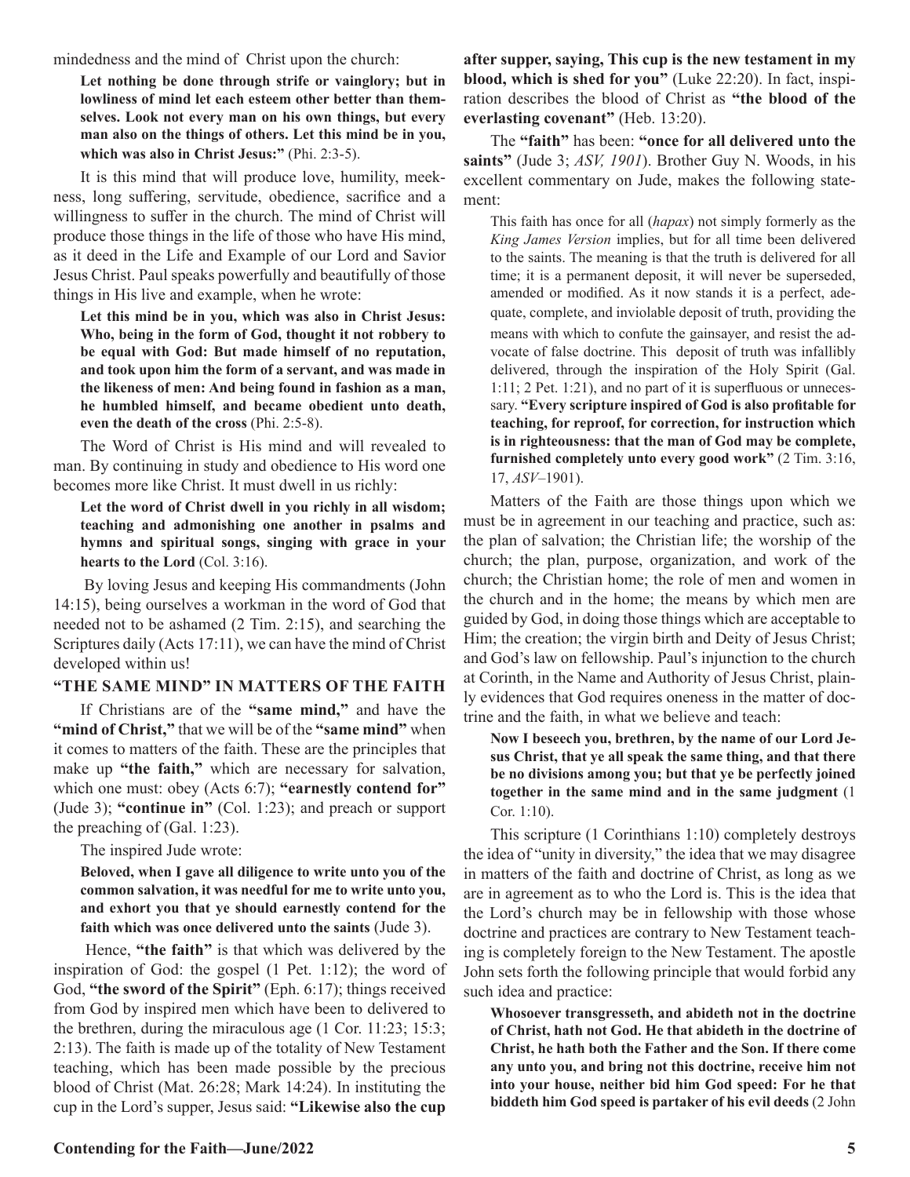mindedness and the mind of Christ upon the church:

**Let nothing be done through strife or vainglory; but in lowliness of mind let each esteem other better than themselves. Look not every man on his own things, but every man also on the things of others. Let this mind be in you, which was also in Christ Jesus:"** (Phi. 2:3-5).

It is this mind that will produce love, humility, meekness, long suffering, servitude, obedience, sacrifice and a willingness to suffer in the church. The mind of Christ will produce those things in the life of those who have His mind, as it deed in the Life and Example of our Lord and Savior Jesus Christ. Paul speaks powerfully and beautifully of those things in His live and example, when he wrote:

**Let this mind be in you, which was also in Christ Jesus: Who, being in the form of God, thought it not robbery to be equal with God: But made himself of no reputation, and took upon him the form of a servant, and was made in the likeness of men: And being found in fashion as a man, he humbled himself, and became obedient unto death, even the death of the cross** (Phi. 2:5-8).

The Word of Christ is His mind and will revealed to man. By continuing in study and obedience to His word one becomes more like Christ. It must dwell in us richly:

**Let the word of Christ dwell in you richly in all wisdom; teaching and admonishing one another in psalms and hymns and spiritual songs, singing with grace in your hearts to the Lord** (Col. 3:16).

 By loving Jesus and keeping His commandments (John 14:15), being ourselves a workman in the word of God that needed not to be ashamed (2 Tim. 2:15), and searching the Scriptures daily (Acts 17:11), we can have the mind of Christ developed within us!

### **"THE SAME MIND" IN MATTERS OF THE FAITH**

If Christians are of the **"same mind,"** and have the **"mind of Christ,"** that we will be of the **"same mind"** when it comes to matters of the faith. These are the principles that make up **"the faith,"** which are necessary for salvation, which one must: obey (Acts 6:7); "earnestly contend for" (Jude 3); **"continue in"** (Col. 1:23); and preach or support the preaching of (Gal. 1:23).

The inspired Jude wrote:

**Beloved, when I gave all diligence to write unto you of the common salvation, it was needful for me to write unto you, and exhort you that ye should earnestly contend for the faith which was once delivered unto the saints** (Jude 3).

 Hence, **"the faith"** is that which was delivered by the inspiration of God: the gospel (1 Pet. 1:12); the word of God, **"the sword of the Spirit"** (Eph. 6:17); things received from God by inspired men which have been to delivered to the brethren, during the miraculous age (1 Cor. 11:23; 15:3; 2:13). The faith is made up of the totality of New Testament teaching, which has been made possible by the precious blood of Christ (Mat. 26:28; Mark 14:24). In instituting the cup in the Lord's supper, Jesus said: **"Likewise also the cup** 

**after supper, saying, This cup is the new testament in my blood, which is shed for you"** (Luke 22:20). In fact, inspiration describes the blood of Christ as **"the blood of the everlasting covenant"** (Heb. 13:20).

The **"faith"** has been: **"once for all delivered unto the saints"** (Jude 3; *ASV, 1901*). Brother Guy N. Woods, in his excellent commentary on Jude, makes the following statement:

This faith has once for all (*hapax*) not simply formerly as the *King James Version* implies, but for all time been delivered to the saints. The meaning is that the truth is delivered for all time; it is a permanent deposit, it will never be superseded, amended or modified. As it now stands it is a perfect, adequate, complete, and inviolable deposit of truth, providing the means with which to confute the gainsayer, and resist the advocate of false doctrine. This deposit of truth was infallibly delivered, through the inspiration of the Holy Spirit (Gal. 1:11; 2 Pet. 1:21), and no part of it is superfluous or unnecessary. **"Every scripture inspired of God is also profitable for teaching, for reproof, for correction, for instruction which is in righteousness: that the man of God may be complete, furnished completely unto every good work"** (2 Tim. 3:16, 17, *ASV*–1901).

Matters of the Faith are those things upon which we must be in agreement in our teaching and practice, such as: the plan of salvation; the Christian life; the worship of the church; the plan, purpose, organization, and work of the church; the Christian home; the role of men and women in the church and in the home; the means by which men are guided by God, in doing those things which are acceptable to Him; the creation; the virgin birth and Deity of Jesus Christ; and God's law on fellowship. Paul's injunction to the church at Corinth, in the Name and Authority of Jesus Christ, plainly evidences that God requires oneness in the matter of doctrine and the faith, in what we believe and teach:

**Now I beseech you, brethren, by the name of our Lord Jesus Christ, that ye all speak the same thing, and that there be no divisions among you; but that ye be perfectly joined together in the same mind and in the same judgment** (1 Cor. 1:10).

This scripture (1 Corinthians 1:10) completely destroys the idea of "unity in diversity," the idea that we may disagree in matters of the faith and doctrine of Christ, as long as we are in agreement as to who the Lord is. This is the idea that the Lord's church may be in fellowship with those whose doctrine and practices are contrary to New Testament teaching is completely foreign to the New Testament. The apostle John sets forth the following principle that would forbid any such idea and practice:

**Whosoever transgresseth, and abideth not in the doctrine of Christ, hath not God. He that abideth in the doctrine of Christ, he hath both the Father and the Son. If there come any unto you, and bring not this doctrine, receive him not into your house, neither bid him God speed: For he that biddeth him God speed is partaker of his evil deeds** (2 John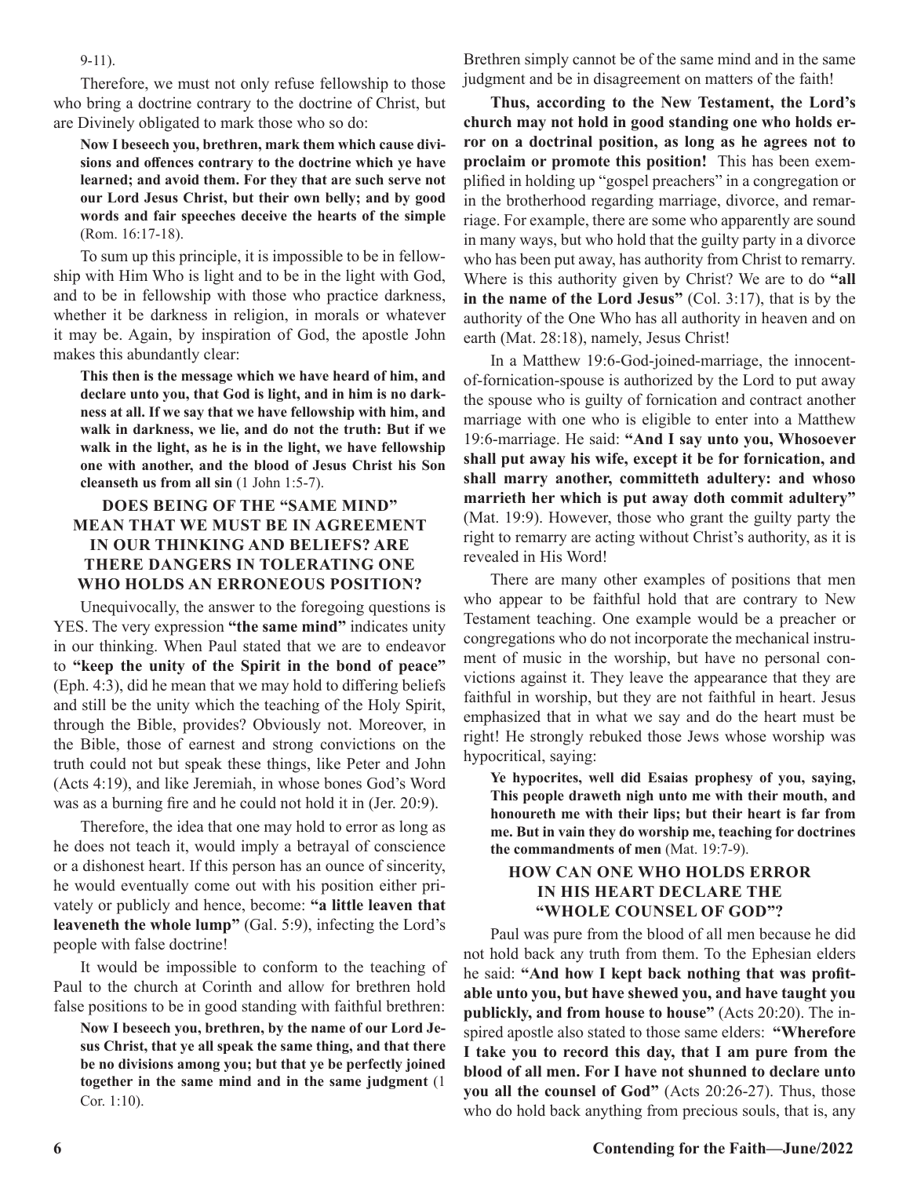9-11).

Therefore, we must not only refuse fellowship to those who bring a doctrine contrary to the doctrine of Christ, but are Divinely obligated to mark those who so do:

**Now I beseech you, brethren, mark them which cause divisions and offences contrary to the doctrine which ye have learned; and avoid them. For they that are such serve not our Lord Jesus Christ, but their own belly; and by good words and fair speeches deceive the hearts of the simple** (Rom. 16:17-18).

To sum up this principle, it is impossible to be in fellowship with Him Who is light and to be in the light with God, and to be in fellowship with those who practice darkness, whether it be darkness in religion, in morals or whatever it may be. Again, by inspiration of God, the apostle John makes this abundantly clear:

**This then is the message which we have heard of him, and declare unto you, that God is light, and in him is no darkness at all. If we say that we have fellowship with him, and walk in darkness, we lie, and do not the truth: But if we walk in the light, as he is in the light, we have fellowship one with another, and the blood of Jesus Christ his Son cleanseth us from all sin** (1 John 1:5-7).

# **DOES BEING OF THE "SAME MIND" MEAN THAT WE MUST BE IN AGREEMENT IN OUR THINKING AND BELIEFS? ARE THERE DANGERS IN TOLERATING ONE WHO HOLDS AN ERRONEOUS POSITION?**

Unequivocally, the answer to the foregoing questions is YES. The very expression **"the same mind"** indicates unity in our thinking. When Paul stated that we are to endeavor to **"keep the unity of the Spirit in the bond of peace"** (Eph. 4:3), did he mean that we may hold to differing beliefs and still be the unity which the teaching of the Holy Spirit, through the Bible, provides? Obviously not. Moreover, in the Bible, those of earnest and strong convictions on the truth could not but speak these things, like Peter and John (Acts 4:19), and like Jeremiah, in whose bones God's Word was as a burning fire and he could not hold it in (Jer. 20:9).

Therefore, the idea that one may hold to error as long as he does not teach it, would imply a betrayal of conscience or a dishonest heart. If this person has an ounce of sincerity, he would eventually come out with his position either privately or publicly and hence, become: **"a little leaven that leaveneth the whole lump"** (Gal. 5:9), infecting the Lord's people with false doctrine!

It would be impossible to conform to the teaching of Paul to the church at Corinth and allow for brethren hold false positions to be in good standing with faithful brethren:

**Now I beseech you, brethren, by the name of our Lord Jesus Christ, that ye all speak the same thing, and that there be no divisions among you; but that ye be perfectly joined together in the same mind and in the same judgment** (1 Cor. 1:10).

Brethren simply cannot be of the same mind and in the same judgment and be in disagreement on matters of the faith!

**Thus, according to the New Testament, the Lord's church may not hold in good standing one who holds error on a doctrinal position, as long as he agrees not to proclaim or promote this position!** This has been exemplified in holding up "gospel preachers" in a congregation or in the brotherhood regarding marriage, divorce, and remarriage. For example, there are some who apparently are sound in many ways, but who hold that the guilty party in a divorce who has been put away, has authority from Christ to remarry. Where is this authority given by Christ? We are to do **"all in the name of the Lord Jesus"** (Col. 3:17), that is by the authority of the One Who has all authority in heaven and on earth (Mat. 28:18), namely, Jesus Christ!

In a Matthew 19:6-God-joined-marriage, the innocentof-fornication-spouse is authorized by the Lord to put away the spouse who is guilty of fornication and contract another marriage with one who is eligible to enter into a Matthew 19:6-marriage. He said: **"And I say unto you, Whosoever shall put away his wife, except it be for fornication, and shall marry another, committeth adultery: and whoso marrieth her which is put away doth commit adultery"**  (Mat. 19:9). However, those who grant the guilty party the right to remarry are acting without Christ's authority, as it is revealed in His Word!

There are many other examples of positions that men who appear to be faithful hold that are contrary to New Testament teaching. One example would be a preacher or congregations who do not incorporate the mechanical instrument of music in the worship, but have no personal convictions against it. They leave the appearance that they are faithful in worship, but they are not faithful in heart. Jesus emphasized that in what we say and do the heart must be right! He strongly rebuked those Jews whose worship was hypocritical, saying:

**Ye hypocrites, well did Esaias prophesy of you, saying, This people draweth nigh unto me with their mouth, and honoureth me with their lips; but their heart is far from me. But in vain they do worship me, teaching for doctrines the commandments of men** (Mat. 19:7-9).

# **HOW CAN ONE WHO HOLDS ERROR IN HIS HEART DECLARE THE "WHOLE COUNSEL OF GOD"?**

Paul was pure from the blood of all men because he did not hold back any truth from them. To the Ephesian elders he said: **"And how I kept back nothing that was profitable unto you, but have shewed you, and have taught you publickly, and from house to house"** (Acts 20:20). The inspired apostle also stated to those same elders: **"Wherefore I take you to record this day, that I am pure from the blood of all men. For I have not shunned to declare unto you all the counsel of God"** (Acts 20:26-27). Thus, those who do hold back anything from precious souls, that is, any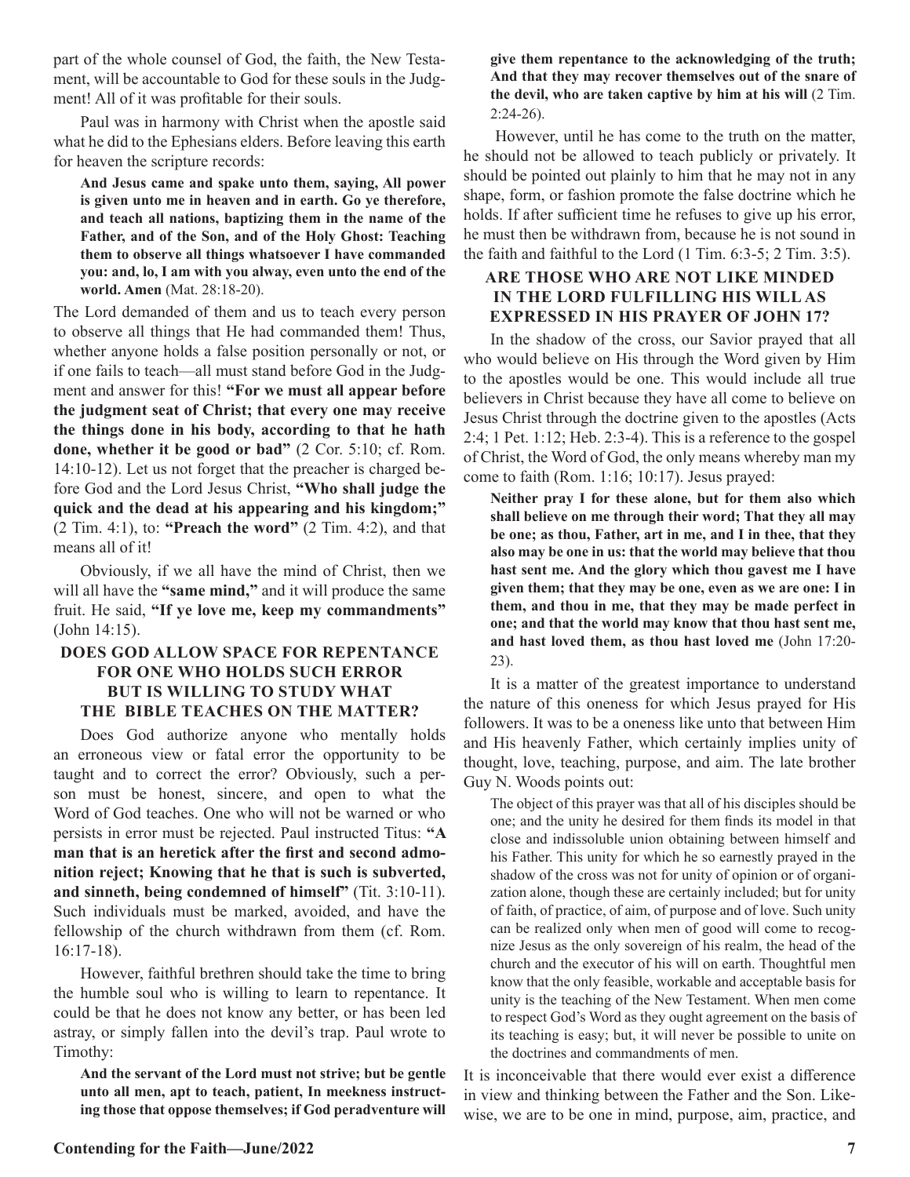part of the whole counsel of God, the faith, the New Testament, will be accountable to God for these souls in the Judgment! All of it was profitable for their souls.

Paul was in harmony with Christ when the apostle said what he did to the Ephesians elders. Before leaving this earth for heaven the scripture records:

**And Jesus came and spake unto them, saying, All power is given unto me in heaven and in earth. Go ye therefore, and teach all nations, baptizing them in the name of the Father, and of the Son, and of the Holy Ghost: Teaching them to observe all things whatsoever I have commanded you: and, lo, I am with you alway, even unto the end of the world. Amen** (Mat. 28:18-20).

The Lord demanded of them and us to teach every person to observe all things that He had commanded them! Thus, whether anyone holds a false position personally or not, or if one fails to teach—all must stand before God in the Judgment and answer for this! **"For we must all appear before the judgment seat of Christ; that every one may receive the things done in his body, according to that he hath done, whether it be good or bad"** (2 Cor. 5:10; cf. Rom. 14:10-12). Let us not forget that the preacher is charged before God and the Lord Jesus Christ, **"Who shall judge the quick and the dead at his appearing and his kingdom;"** (2 Tim. 4:1), to: **"Preach the word"** (2 Tim. 4:2), and that means all of it!

Obviously, if we all have the mind of Christ, then we will all have the **"same mind,"** and it will produce the same fruit. He said, **"If ye love me, keep my commandments"**  (John 14:15).

# **DOES GOD ALLOW SPACE FOR REPENTANCE FOR ONE WHO HOLDS SUCH ERROR BUT IS WILLING TO STUDY WHAT THE BIBLE TEACHES ON THE MATTER?**

Does God authorize anyone who mentally holds an erroneous view or fatal error the opportunity to be taught and to correct the error? Obviously, such a person must be honest, sincere, and open to what the Word of God teaches. One who will not be warned or who persists in error must be rejected. Paul instructed Titus: **"A man that is an heretick after the first and second admonition reject; Knowing that he that is such is subverted, and sinneth, being condemned of himself"** (Tit. 3:10-11). Such individuals must be marked, avoided, and have the fellowship of the church withdrawn from them (cf. Rom. 16:17-18).

However, faithful brethren should take the time to bring the humble soul who is willing to learn to repentance. It could be that he does not know any better, or has been led astray, or simply fallen into the devil's trap. Paul wrote to Timothy:

**And the servant of the Lord must not strive; but be gentle unto all men, apt to teach, patient, In meekness instructing those that oppose themselves; if God peradventure will**  **give them repentance to the acknowledging of the truth; And that they may recover themselves out of the snare of the devil, who are taken captive by him at his will** (2 Tim. 2:24-26).

 However, until he has come to the truth on the matter, he should not be allowed to teach publicly or privately. It should be pointed out plainly to him that he may not in any shape, form, or fashion promote the false doctrine which he holds. If after sufficient time he refuses to give up his error, he must then be withdrawn from, because he is not sound in the faith and faithful to the Lord (1 Tim. 6:3-5; 2 Tim. 3:5).

# **ARE THOSE WHO ARE NOT LIKE MINDED IN THE LORD FULFILLING HIS WILL AS EXPRESSED IN HIS PRAYER OF JOHN 17?**

In the shadow of the cross, our Savior prayed that all who would believe on His through the Word given by Him to the apostles would be one. This would include all true believers in Christ because they have all come to believe on Jesus Christ through the doctrine given to the apostles (Acts 2:4; 1 Pet. 1:12; Heb. 2:3-4). This is a reference to the gospel of Christ, the Word of God, the only means whereby man my come to faith (Rom. 1:16; 10:17). Jesus prayed:

**Neither pray I for these alone, but for them also which shall believe on me through their word; That they all may be one; as thou, Father, art in me, and I in thee, that they also may be one in us: that the world may believe that thou hast sent me. And the glory which thou gavest me I have given them; that they may be one, even as we are one: I in them, and thou in me, that they may be made perfect in one; and that the world may know that thou hast sent me, and hast loved them, as thou hast loved me** (John 17:20- 23).

It is a matter of the greatest importance to understand the nature of this oneness for which Jesus prayed for His followers. It was to be a oneness like unto that between Him and His heavenly Father, which certainly implies unity of thought, love, teaching, purpose, and aim. The late brother Guy N. Woods points out:

The object of this prayer was that all of his disciples should be one; and the unity he desired for them finds its model in that close and indissoluble union obtaining between himself and his Father. This unity for which he so earnestly prayed in the shadow of the cross was not for unity of opinion or of organization alone, though these are certainly included; but for unity of faith, of practice, of aim, of purpose and of love. Such unity can be realized only when men of good will come to recognize Jesus as the only sovereign of his realm, the head of the church and the executor of his will on earth. Thoughtful men know that the only feasible, workable and acceptable basis for unity is the teaching of the New Testament. When men come to respect God's Word as they ought agreement on the basis of its teaching is easy; but, it will never be possible to unite on the doctrines and commandments of men.

It is inconceivable that there would ever exist a difference in view and thinking between the Father and the Son. Likewise, we are to be one in mind, purpose, aim, practice, and